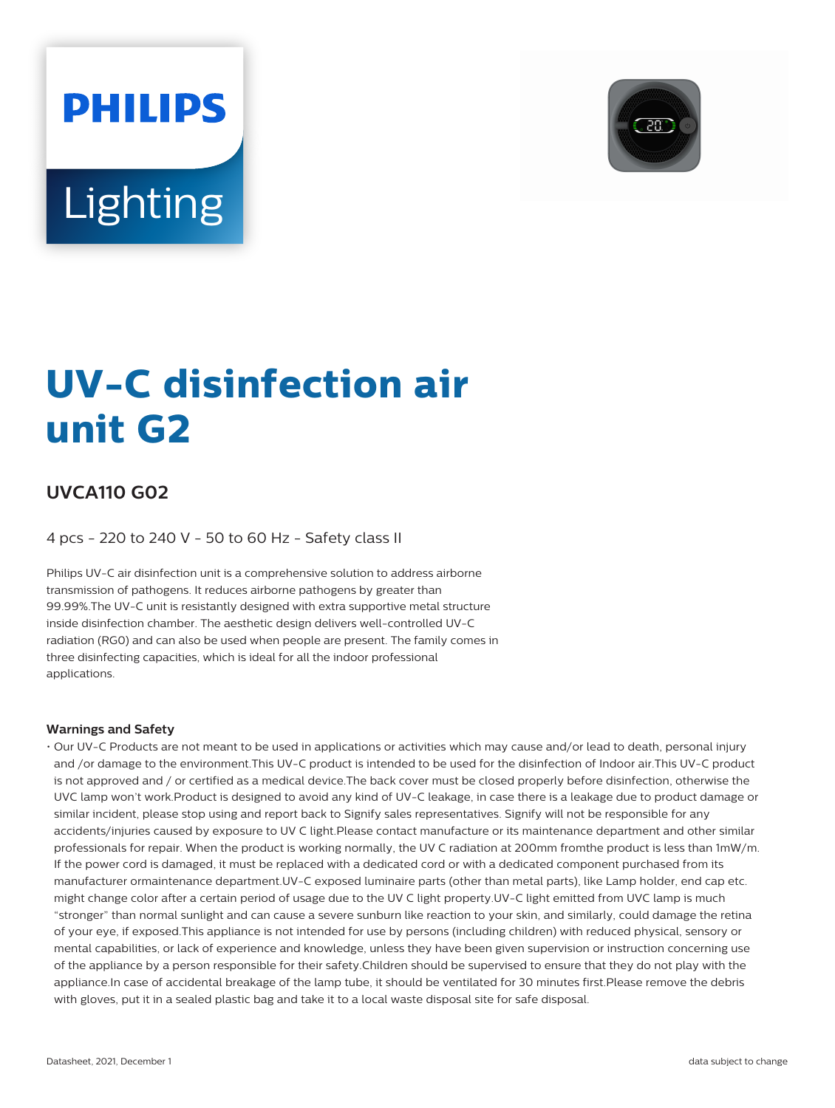

# **Lighting**

**PHILIPS** 

# **UV-C disinfection air unit G2**

# **UVCA110 G02**

4 pcs - 220 to 240 V - 50 to 60 Hz - Safety class II

Philips UV-C air disinfection unit is a comprehensive solution to address airborne transmission of pathogens. It reduces airborne pathogens by greater than 99.99%.The UV-C unit is resistantly designed with extra supportive metal structure inside disinfection chamber. The aesthetic design delivers well-controlled UV-C radiation (RG0) and can also be used when people are present. The family comes in three disinfecting capacities, which is ideal for all the indoor professional applications.

#### **Warnings and Safety**

• Our UV-C Products are not meant to be used in applications or activities which may cause and/or lead to death, personal injury and /or damage to the environment.This UV-C product is intended to be used for the disinfection of Indoor air.This UV-C product is not approved and / or certified as a medical device.The back cover must be closed properly before disinfection, otherwise the UVC lamp won't work.Product is designed to avoid any kind of UV-C leakage, in case there is a leakage due to product damage or similar incident, please stop using and report back to Signify sales representatives. Signify will not be responsible for any accidents/injuries caused by exposure to UV C light.Please contact manufacture or its maintenance department and other similar professionals for repair. When the product is working normally, the UV C radiation at 200mm fromthe product is less than 1mW/m. If the power cord is damaged, it must be replaced with a dedicated cord or with a dedicated component purchased from its manufacturer ormaintenance department.UV-C exposed luminaire parts (other than metal parts), like Lamp holder, end cap etc. might change color after a certain period of usage due to the UV C light property.UV-C light emitted from UVC lamp is much "stronger" than normal sunlight and can cause a severe sunburn like reaction to your skin, and similarly, could damage the retina of your eye, if exposed.This appliance is not intended for use by persons (including children) with reduced physical, sensory or mental capabilities, or lack of experience and knowledge, unless they have been given supervision or instruction concerning use of the appliance by a person responsible for their safety.Children should be supervised to ensure that they do not play with the appliance.In case of accidental breakage of the lamp tube, it should be ventilated for 30 minutes first.Please remove the debris with gloves, put it in a sealed plastic bag and take it to a local waste disposal site for safe disposal.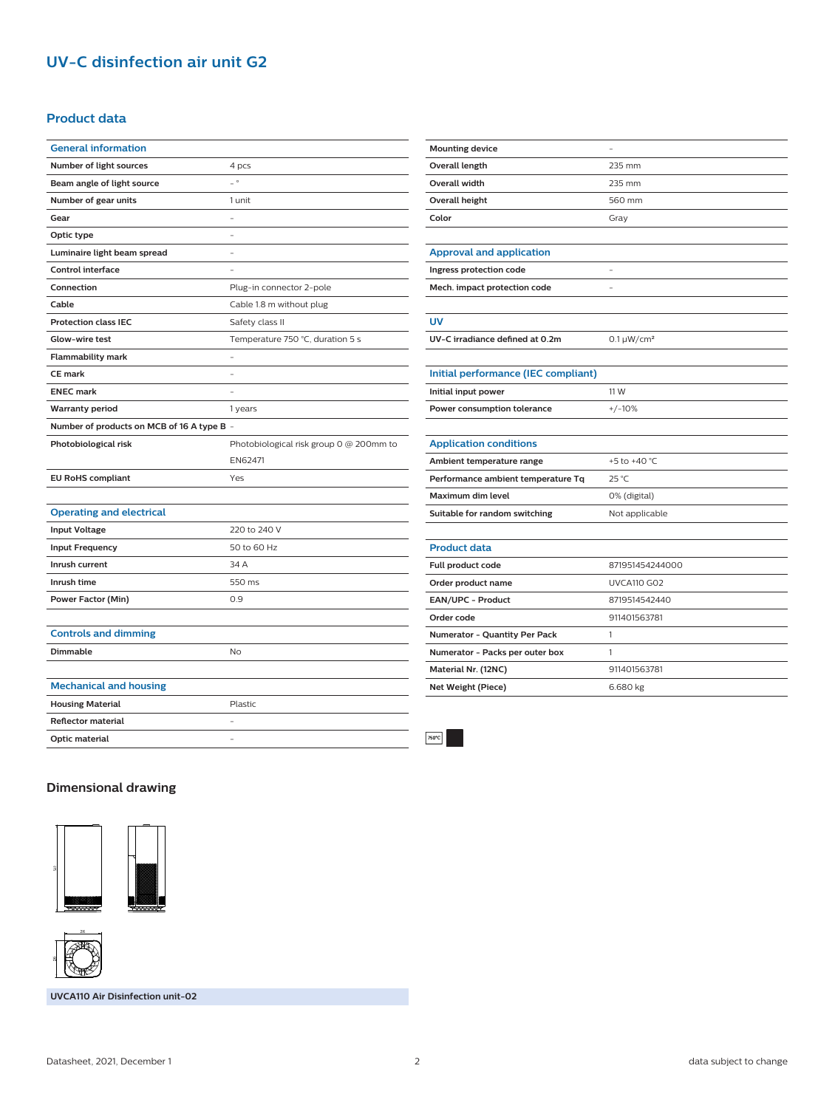# **UV-C disinfection air unit G2**

#### **Product data**

| <b>General information</b>                 |                                         |
|--------------------------------------------|-----------------------------------------|
| Number of light sources                    | 4 pcs                                   |
| Beam angle of light source                 | $\overline{\phantom{0}}$                |
| Number of gear units                       | 1 unit                                  |
| Gear                                       | -                                       |
| Optic type                                 |                                         |
| Luminaire light beam spread                |                                         |
| <b>Control interface</b>                   |                                         |
| Connection                                 | Plug-in connector 2-pole                |
| Cable                                      | Cable 1.8 m without plug                |
| <b>Protection class IEC</b>                | Safety class II                         |
| Glow-wire test                             | Temperature 750 °C, duration 5 s        |
| <b>Flammability mark</b>                   |                                         |
| <b>CE</b> mark                             |                                         |
| <b>ENEC mark</b>                           |                                         |
| Warranty period                            | 1 years                                 |
| Number of products on MCB of 16 A type B - |                                         |
| Photobiological risk                       | Photobiological risk group 0 @ 200mm to |
|                                            | EN62471                                 |
| <b>EU RoHS compliant</b>                   | Yes                                     |
|                                            |                                         |
| <b>Operating and electrical</b>            |                                         |
| <b>Input Voltage</b>                       | 220 to 240 V                            |
| <b>Input Frequency</b>                     | 50 to 60 Hz                             |
| Inrush current                             | 34 A                                    |
| Inrush time                                | 550 ms                                  |
| <b>Power Factor (Min)</b>                  | 0.9                                     |
|                                            |                                         |
| <b>Controls and dimming</b>                |                                         |
| <b>Dimmable</b>                            | <b>No</b>                               |
|                                            |                                         |
| <b>Mechanical and housing</b>              |                                         |
| <b>Housing Material</b>                    | Plastic                                 |
| <b>Reflector material</b>                  |                                         |

| <b>Mounting device</b>              | $\equiv$           |
|-------------------------------------|--------------------|
| Overall length                      | 235 mm             |
| <b>Overall width</b>                | 235 mm             |
| <b>Overall height</b>               | 560 mm             |
| Color                               | Gray               |
|                                     |                    |
| <b>Approval and application</b>     |                    |
| Ingress protection code             | -                  |
| Mech. impact protection code        |                    |
|                                     |                    |
| <b>UV</b>                           |                    |
| UV-C irradiance defined at 0.2m     | $0.1 \mu W/cm^2$   |
|                                     |                    |
| Initial performance (IEC compliant) |                    |
| Initial input power                 | 11 W               |
| Power consumption tolerance         | $+/-10%$           |
|                                     |                    |
| <b>Application conditions</b>       |                    |
| Ambient temperature range           | +5 to +40 °C       |
| Performance ambient temperature Tq  | 25 °C              |
| <b>Maximum dim level</b>            | 0% (digital)       |
| Suitable for random switching       | Not applicable     |
|                                     |                    |
| <b>Product data</b>                 |                    |
| Full product code                   | 871951454244000    |
| Order product name                  | <b>UVCA110 G02</b> |
| EAN/UPC - Product                   | 8719514542440      |
| Order code                          | 911401563781       |
| Numerator - Quantity Per Pack       | 1                  |
| Numerator - Packs per outer box     | 1                  |
| Material Nr. (12NC)                 | 911401563781       |
| Net Weight (Piece)                  | 6.680 kg           |
|                                     |                    |

### **Dimensional drawing**

**Optic material** -





**UVCA110 Air Disinfection unit-02**

 $750^{\circ}$ C